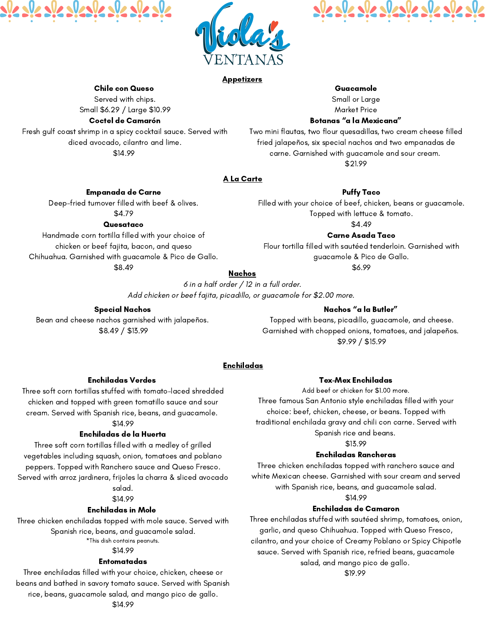



### **Appetizers**

### Enchiladas Verdes

Three soft corn tortillas stuffed with tomato-laced shredded chicken and topped with green tomatillo sauce and sour cream. Served with Spanish rice, beans, and guacamole.

# \$14.99

## Enchiladas de la Huerta

Three soft corn tortillas filled with a medley of grilled vegetables including squash, onion, tomatoes and poblano peppers. Topped with Ranchero sauce and Queso Fresco. Served with arroz jardinera, frijoles la charra & sliced avocado salad.

### \$14.99

### Enchiladas in Mole

Three chicken enchiladas topped with mole sauce. Served with Spanish rice, beans, and guacamole salad. \*This dish contains peanuts.

# \$14.99

### Entomatadas

Three enchiladas filled with your choice, chicken, cheese or beans and bathed in savory tomato sauce. Served with Spanish rice, beans, guacamole salad, and mango pico de gallo. \$14.99

6 in a half order / 12 in a full order. Add chicken or beef fajita, picadillo, or guacamole for \$2.00 more.

# Nachos " a la Butler "

Topped with beans, picadillo, guacamole, and cheese. Garnished with chopped onions, tomatoes, and jalapeños. \$9.99 / \$15.99

# Tex-Mex Enchiladas

Add beef or chicken for \$1.00 more. Three famous San Antonio style enchiladas filled with your choice: beef, chicken, cheese, or beans. Topped with traditional enchilada gravy and chili con carne. Served with Spanish rice and beans.

### \$13.99 Enchiladas Rancheras

Three chicken enchiladas topped with ranchero sauce and white Mexican cheese. Garnished with sour cream and served with Spanish rice, beans, and guacamole salad. \$14.99 Enchiladas de Camaron

Three enchiladas stuffed with sautéed shrimp, tomatoes, onion, garlic, and queso Chihuahua. Topped with Queso Fresco, cilantro, and your choice of Creamy Poblano or Spicy Chipotle sauce. Served with Spanish rice, refried beans, guacamole salad, and mango pico de gallo. \$19.99

# A La Carte

# Empanada de Carne

Deep-fried turnover filled with beef & olives. \$4.79

# **Quesataco**

Handmade corn tortilla filled with your choice of chicken or beef fajita, bacon, and queso Chihuahua. Garnished with guacamole & Pico de Gallo. \$8.49

Puffy Taco

Filled with your choice of beef, chicken, beans or guacamole. Topped with lettuce & tomato.

\$4.49

# Carne Asada Taco

Flour tortilla filled with sautéed tenderloin. Garnished with guacamole & Pico de Gallo.

\$6.99

# **Nachos**

# Special Nachos

Bean and cheese nachos garnished with jalapeños. \$8.49 / \$13.99

# Enchiladas

# Chile con Queso

Served with chips. Small \$6.29 / Large \$10.99

# Coctel de Camarón

Fresh gulf coast shrimp in a spicy cocktail sauce. Served with diced avocado, cilantro and lime. \$14.99

Guacamole Small or Large Market Price

# Botanas " a la Mexicana "

Two mini flautas, two flour quesadillas, two cream cheese filled fried jalapeños, six special nachos and two empanadas de carne. Garnished with guacamole and sour cream. \$21.99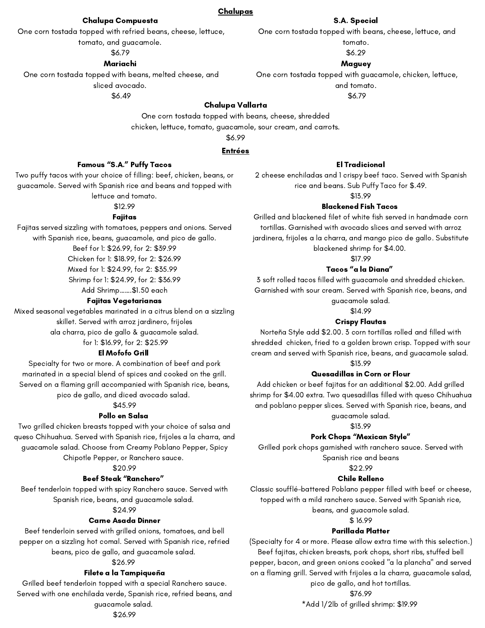# Famous "S.A." Puffy Tacos

Two puffy tacos with your choice of filling: beef, chicken, beans, or guacamole. Served with Spanish rice and beans and topped with lettuce and tomato.

## \$12.99

## Fajitas

Fajitas served sizzling with tomatoes, peppers and onions. Served with Spanish rice, beans, guacamole, and pico de gallo.

> Beef for 1: \$26.99, for 2: \$39.99 Chicken for 1: \$18.99, for 2: \$26.99 Mixed for 1: \$24.99, for 2: \$35.99 Shrimp for 1: \$24.99, for 2: \$36.99 Add Shrimp…….\$1.50 each

## Fajitas Vegetarianas

Mixed seasonal vegetables marinated in a citrus blend on a sizzling skillet. Served with arroz jardinero, frijoles ala charra, pico de gallo & guacamole salad. for 1: \$16.99, for 2: \$25.99

# El Mofofo Grill

Specialty for two or more. A combination of beef and pork marinated in a special blend of spices and cooked on the grill. Served on a flaming grill accompanied with Spanish rice, beans, pico de gallo, and diced avocado salad.

# \$45.99

# Pollo en Salsa

Two grilled chicken breasts topped with your choice of salsa and queso Chihuahua. Served with Spanish rice, frijoles a la charra, and guacamole salad. Choose from Creamy Poblano Pepper, Spicy Chipotle Pepper, or Ranchero sauce.

# \$20.99

# Beef Steak "Ranchero "

Beef tenderloin topped with spicy Ranchero sauce. Served with Spanish rice, beans, and guacamole salad.

# \$24.99

# Carne Asada Dinner

Beef tenderloin served with grilled onions, tomatoes, and bell pepper on a sizzling hot comal. Served with Spanish rice, refried beans, pico de gallo, and guacamole salad.

# \$26.99

# Filete a la Tampiqueña

Grilled beef tenderloin topped with a special Ranchero sauce. Served with one enchilada verde, Spanish rice, refried beans, and guacamole salad. \$26.99

# El Tradicional

2 cheese enchiladas and 1 crispy beef taco. Served with Spanish rice and beans. Sub Puffy Taco for \$.49.

\$13.99

# Blackened Fish Tacos

Grilled and blackened filet of white fish served in handmade corn tortillas. Garnished with avocado slices and served with arroz jardinera, frijoles a la charra, and mango pico de gallo. Substitute blackened shrimp for \$4.00.

\$17.99

# Tacos " a la Diana "

3 soft rolled tacos filled with guacamole and shredded chicken. Garnished with sour cream. Served with Spanish rice, beans, and guacamole salad.

\$14.99

# Crispy Flautas

Norteña Style add \$2.00. 3 corn tortillas rolled and filled with shredded chicken, fried to a golden brown crisp. Topped with sour cream and served with Spanish rice, beans, and guacamole salad. \$13.99

## Quesadillas in Corn or Flour

Add chicken or beef fajitas for an additional \$2.00. Add grilled shrimp for \$4.00 extra. Two quesadillas filled with queso Chihuahua and poblano pepper slices. Served with Spanish rice, beans, and guacamole salad.

# \$13.99

# Pork Chops "Mexican Style "

Grilled pork chops garnished with ranchero sauce. Served with Spanish rice and beans

### \$22.99

# Chile Relleno

Classic soufflé-battered Poblano pepper filled with beef or cheese, topped with a mild ranchero sauce. Served with Spanish rice,

beans, and guacamole salad.

### \$ 16.99

# Parillada Platter

(Specialty for 4 or more. Please allow extra time with this selection.) Beef fajitas, chicken breasts, pork chops, short ribs, stuffed bell pepper, bacon, and green onions cooked "a la plancha" and served on a flaming grill. Served with frijoles a la charra, guacamole salad, pico de gallo, and hot tortillas. \$76.99

\*Add 1/2lb of grilled shrimp: \$19.99

## Entrées

### **Chalupas**

### Chalupa Compuesta

One corn tostada topped with refried beans, cheese, lettuce,

tomato, and guacamole.

### \$6.79

### Mariachi

One corn tostada topped with beans, melted cheese, and sliced avocado.

\$6.49

### S.A. Special

One corn tostada topped with beans, cheese, lettuce, and

tomato.

\$6.29

# **Maguey**

One corn tostada topped with guacamole, chicken, lettuce, and tomato.

\$6.79

### Chalupa Vallarta

One corn tostada topped with beans, cheese, shredded

chicken, lettuce, tomato, guacamole, sour cream, and carrots.

\$6.99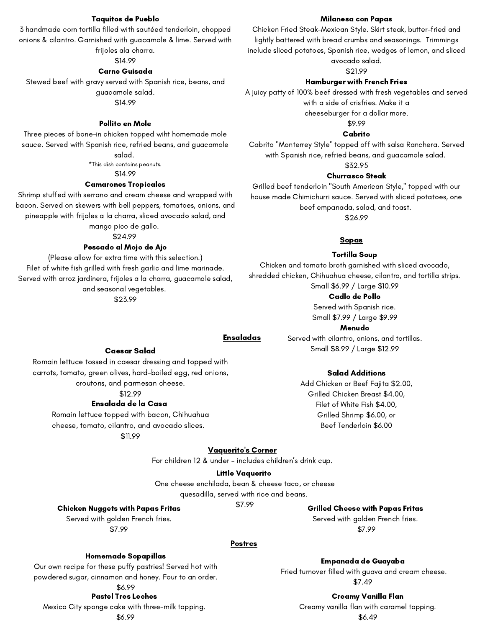### Pastel Tres Leches

Mexico City sponge cake with three-milk topping. \$6.99

## Homemade Sopapillas

Our own recipe for these puffy pastries! Served hot with powdered sugar, cinnamon and honey. Four to an order.

#### \$6.99

## Postres

#### Little Vaquerito

One cheese enchilada, bean & cheese taco, or cheese

quesadilla, served with rice and beans.

\$7.99

## Vaquerito 's Corner

For children 12 & under – includes children ' s drink cup.

### Grilled Cheese with Papas Fritas

Served with golden French fries. \$7.99

### Chicken Nuggets with Papas Fritas

Served with golden French fries.

\$7.99

#### Tortilla Soup

Chicken and tomato broth garnished with sliced avocado, shredded chicken, Chihuahua cheese, cilantro, and tortilla strips. Small \$6.99 / Large \$10.99

#### Cadlo de Pollo

Served with Spanish rice. Small \$7.99 / Large \$9.99

#### Menudo

Served with cilantro, onions, and tortillas. Small \$8.99 / Large \$12.99

### Taquitos de Pueblo

3 handmade corn tortilla filled with sautéed tenderloin, chopped onions & cilantro. Garnished with guacamole & lime. Served with frijoles ala charra.

### \$14.99

#### Carne Guisada

Stewed beef with gravy served with Spanish rice, beans, and guacamole salad. \$14.99

#### Pollito en Mole

Three pieces of bone-in chicken topped wiht homemade mole sauce. Served with Spanish rice, refried beans, and guacamole

#### salad.

\*This dish contains peanuts.

#### \$14.99

### Camarones Tropicales

Shrimp stuffed with serrano and cream cheese and wrapped with bacon. Served on skewers with bell peppers, tomatoes, onions, and pineapple with frijoles a la charra, sliced avocado salad, and mango pico de gallo.

#### \$24.99

### Pescado al Mojo de Ajo

(Please allow for extra time with this selection.) Filet of white fish grilled with fresh garlic and lime marinade. Served with arroz jardinera, frijoles a la charra, guacamole salad, and seasonal vegetables.

\$23.99

#### Milanesa con Papas

Chicken Fried Steak-Mexican Style. Skirt steak, butter-fried and lightly battered with bread crumbs and seasonings. Trimmings include sliced potatoes, Spanish rice, wedges of lemon, and sliced avocado salad.

\$21.99

#### Hamburger with French Fries

A juicy patty of 100% beef dressed with fresh vegetables and served with a side of crisfries. Make it a cheeseburger for a dollar more.

#### \$9.99

#### Cabrito

Cabrito "Monterrey Style" topped off with salsa Ranchera. Served with Spanish rice, refried beans, and guacamole salad.

#### \$32.95

#### Churrasco Steak

Grilled beef tenderloin "South American Style," topped with our house made Chimichurri sauce. Served with sliced potatoes, one beef empanada, salad, and toast.

\$26.99

### **Sopas**

Romain lettuce topped with bacon, Chihuahua cheese, tomato, cilantro, and avocado slices.

\$11.99

## Ensaladas

#### Caesar Salad

#### Ensalada de la Casa \$12.99

Romain lettuce tossed in caesar dressing and topped with carrots, tomato, green olives, hard-boiled egg, red onions, croutons, and parmesan cheese.

### Salad Additions

Add Chicken or Beef Fajita \$2.00,

Grilled Chicken Breast \$4.00, Filet of White Fish \$4.00, Grilled Shrimp \$6.00, or Beef Tenderloin \$6.00

### Creamy Vanilla Flan

Creamy vanilla flan with caramel topping.

### Empanada de Guayaba

Fried turnover filled with guava and cream cheese. \$7.49